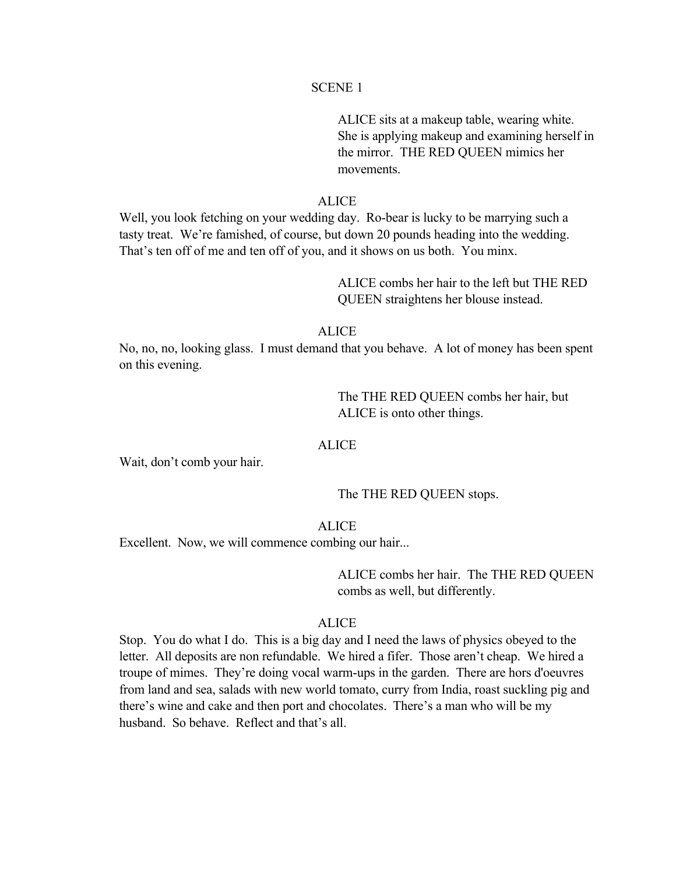ALICE sits at a makeup table, wearing white. She is applying makeup and examining herself in the mirror. THE RED QUEEN mimics her movements.

# ALICE

Well, you look fetching on your wedding day. Ro-bear is lucky to be marrying such a tasty treat. We're famished, of course, but down 20 pounds heading into the wedding. That's ten off of me and ten off of you, and it shows on us both. You minx.

> ALICE combs her hair to the left but THE RED QUEEN straightens her blouse instead.

## ALICE

No, no, no, looking glass. I must demand that you behave. A lot of money has been spent on this evening.

> The THE RED QUEEN combs her hair, but ALICE is onto other things.

## ALICE

Wait, don't comb your hair.

The THE RED QUEEN stops.

# **ALICE**

Excellent. Now, we will commence combing our hair...

ALICE combs her hair. The THE RED QUEEN combs as well, but differently.

# **ALICE**

Stop. You do what I do. This is a big day and I need the laws of physics obeyed to the letter. All deposits are non refundable. We hired a fifer. Those aren't cheap. We hired a troupe of mimes. They're doing vocal warm-ups in the garden. There are hors d'oeuvres from land and sea, salads with new world tomato, curry from India, roast suckling pig and there's wine and cake and then port and chocolates. There's a man who will be my husband. So behave. Reflect and that's all.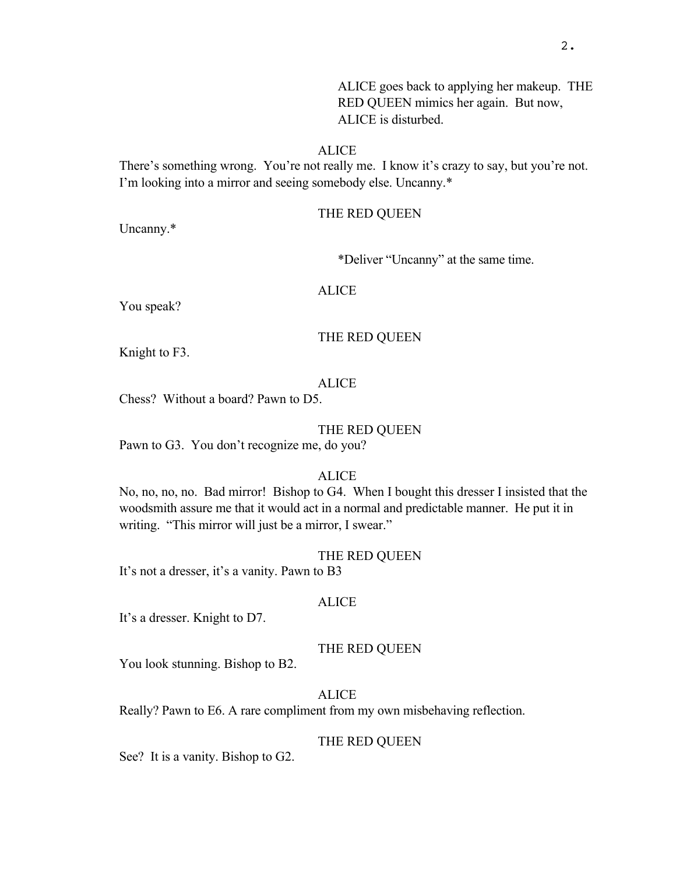ALICE goes back to applying her makeup. THE RED QUEEN mimics her again. But now, ALICE is disturbed.

## ALICE

There's something wrong. You're not really me. I know it's crazy to say, but you're not. I'm looking into a mirror and seeing somebody else. Uncanny.\*

## THE RED QUEEN

Uncanny.\*

\*Deliver "Uncanny" at the same time.

ALICE

You speak?

#### THE RED QUEEN

Knight to F3.

# ALICE

Chess? Without a board? Pawn to D5.

#### THE RED QUEEN

Pawn to G3. You don't recognize me, do you?

## **ALICE**

No, no, no, no. Bad mirror! Bishop to G4. When I bought this dresser I insisted that the woodsmith assure me that it would act in a normal and predictable manner. He put it in writing. "This mirror will just be a mirror, I swear."

## THE RED QUEEN

It's not a dresser, it's a vanity. Pawn to B3

# ALICE

It's a dresser. Knight to D7.

#### THE RED QUEEN

You look stunning. Bishop to B2.

**ALICE** 

Really? Pawn to E6. A rare compliment from my own misbehaving reflection.

#### THE RED QUEEN

See? It is a vanity. Bishop to G2.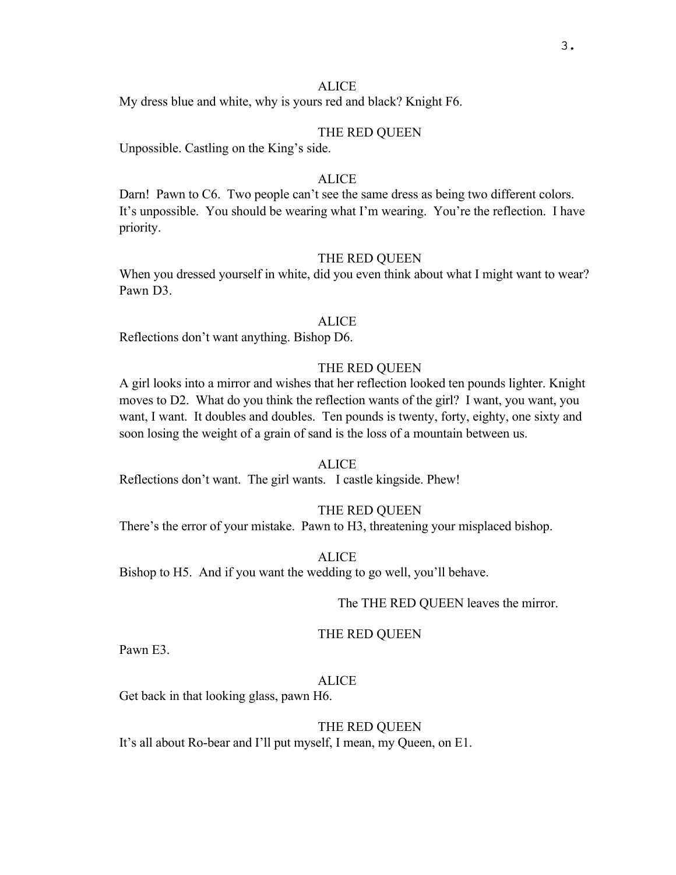My dress blue and white, why is yours red and black? Knight F6.

## THE RED QUEEN

Unpossible. Castling on the King's side.

# **ALICE**

Darn! Pawn to C6. Two people can't see the same dress as being two different colors. It's unpossible. You should be wearing what I'm wearing. You're the reflection. I have priority.

## THE RED QUEEN

When you dressed yourself in white, did you even think about what I might want to wear? Pawn D3.

#### ALICE

Reflections don't want anything. Bishop D6.

# THE RED QUEEN

A girl looks into a mirror and wishes that her reflection looked ten pounds lighter. Knight moves to D2. What do you think the reflection wants of the girl? I want, you want, you want, I want. It doubles and doubles. Ten pounds is twenty, forty, eighty, one sixty and soon losing the weight of a grain of sand is the loss of a mountain between us.

#### **ALICE**

Reflections don't want. The girl wants. I castle kingside. Phew!

## THE RED QUEEN

There's the error of your mistake. Pawn to H3, threatening your misplaced bishop.

ALICE Bishop to H5. And if you want the wedding to go well, you'll behave.

#### The THE RED QUEEN leaves the mirror.

#### THE RED QUEEN

Pawn E3.

# ALICE

Get back in that looking glass, pawn H6.

#### THE RED QUEEN

It's all about Ro-bear and I'll put myself, I mean, my Queen, on E1.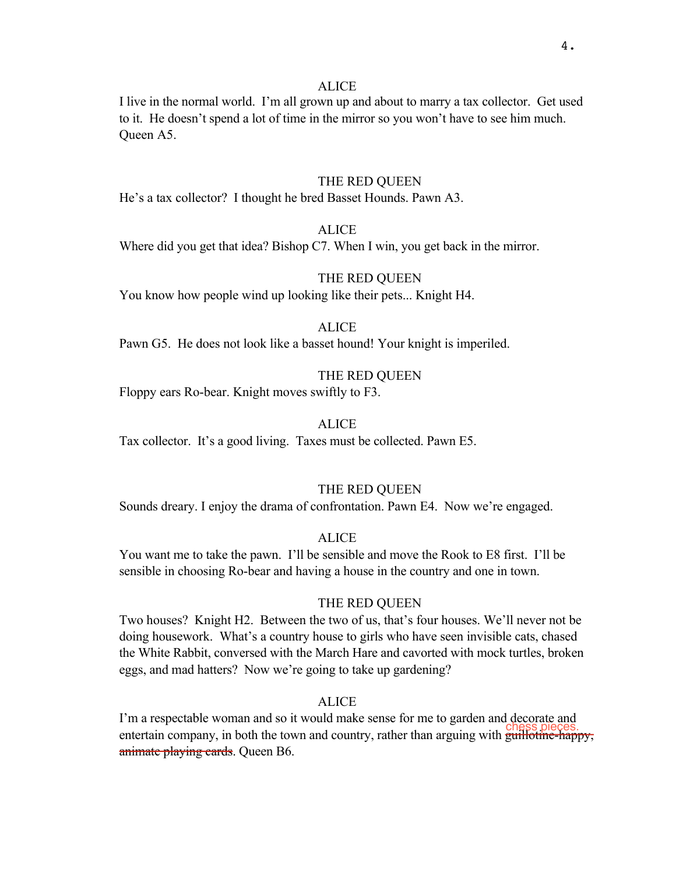I live in the normal world. I'm all grown up and about to marry a tax collector. Get used to it. He doesn't spend a lot of time in the mirror so you won't have to see him much. Queen A5.

## THE RED QUEEN

He's a tax collector? I thought he bred Basset Hounds. Pawn A3.

# ALICE

Where did you get that idea? Bishop C7. When I win, you get back in the mirror.

# THE RED QUEEN

You know how people wind up looking like their pets... Knight H4.

## **ALICE**

Pawn G5. He does not look like a basset hound! Your knight is imperiled.

# THE RED QUEEN

Floppy ears Ro-bear. Knight moves swiftly to F3.

# **ALICE**

Tax collector. It's a good living. Taxes must be collected. Pawn E5.

## THE RED QUEEN

Sounds dreary. I enjoy the drama of confrontation. Pawn E4. Now we're engaged.

## ALICE

You want me to take the pawn. I'll be sensible and move the Rook to E8 first. I'll be sensible in choosing Ro-bear and having a house in the country and one in town.

## THE RED QUEEN

Two houses? Knight H2. Between the two of us, that's four houses. We'll never not be doing housework. What's a country house to girls who have seen invisible cats, chased the White Rabbit, conversed with the March Hare and cavorted with mock turtles, broken eggs, and mad hatters? Now we're going to take up gardening?

# **ALICE**

I'm a respectable woman and so it would make sense for me to garden and decorate and entertain company, in both the town and country, rather than arguing with guillotine-happy, animate playing cards. Queen B6.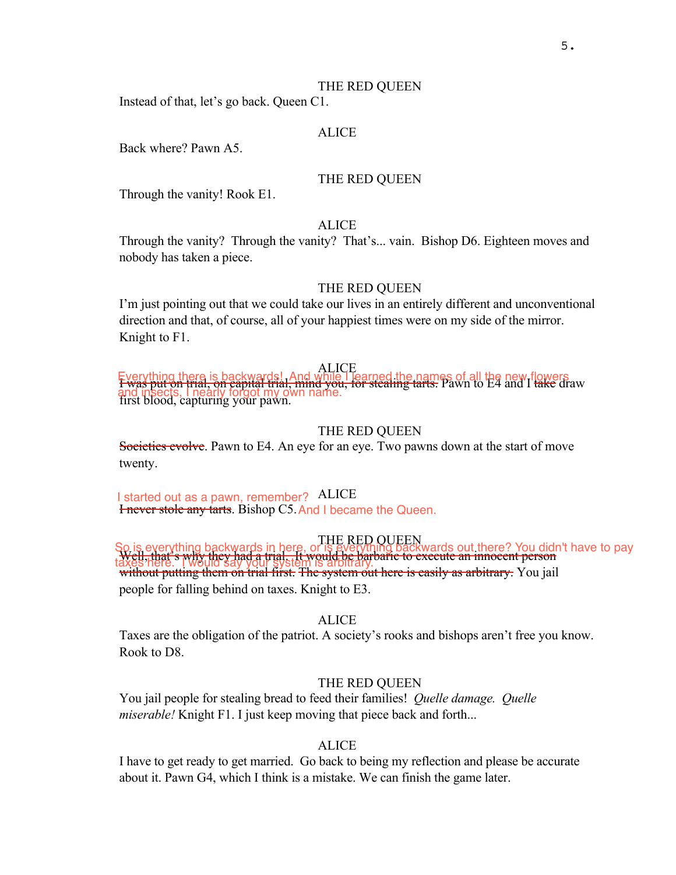Instead of that, let's go back. Queen C1.

#### ALICE

Back where? Pawn A5.

## THE RED QUEEN

Through the vanity! Rook E1.

# **ALICE**

Through the vanity? Through the vanity? That's... vain. Bishop D6. Eighteen moves and nobody has taken a piece.

## THE RED QUEEN

I'm just pointing out that we could take our lives in an entirely different and unconventional direction and that, of course, all of your happiest times were on my side of the mirror. Knight to F1.

ALICE Everything there is backwards! And while Tearned the names of all the new flowers<br>I was put on frial, on capital trial, mind you, for stealing tarts. Pawn to E4 and I take draw and insects, I nearly forgot my own name.<br>first blood, capturing your pawn.

# THE RED QUEEN

Societies evolve. Pawn to E4. An eye for an eye. Two pawns down at the start of move twenty.

I started out as a pawn, remember? ALICE I started out as a pawn, remember? ALICE<br>**Friever stole any tarts**. Bishop C5. And I became the Queen.

THE RED QUEEN So is everything backwards in here, or is everything backwards out there? You didn't have to pay Well, that's why they had a trial. It would be barbaric to execute an innocent person taxes here. Two individually system is arbitrary.<br>without putting them on trial first. The system out here is easily as arbitrary. You jail people for falling behind on taxes. Knight to E3.

## ALICE

Taxes are the obligation of the patriot. A society's rooks and bishops aren't free you know. Rook to D8.

#### THE RED QUEEN

You jail people for stealing bread to feed their families! *Quelle damage. Quelle miserable!* Knight F1. I just keep moving that piece back and forth...

#### ALICE

I have to get ready to get married. Go back to being my reflection and please be accurate about it. Pawn G4, which I think is a mistake. We can finish the game later.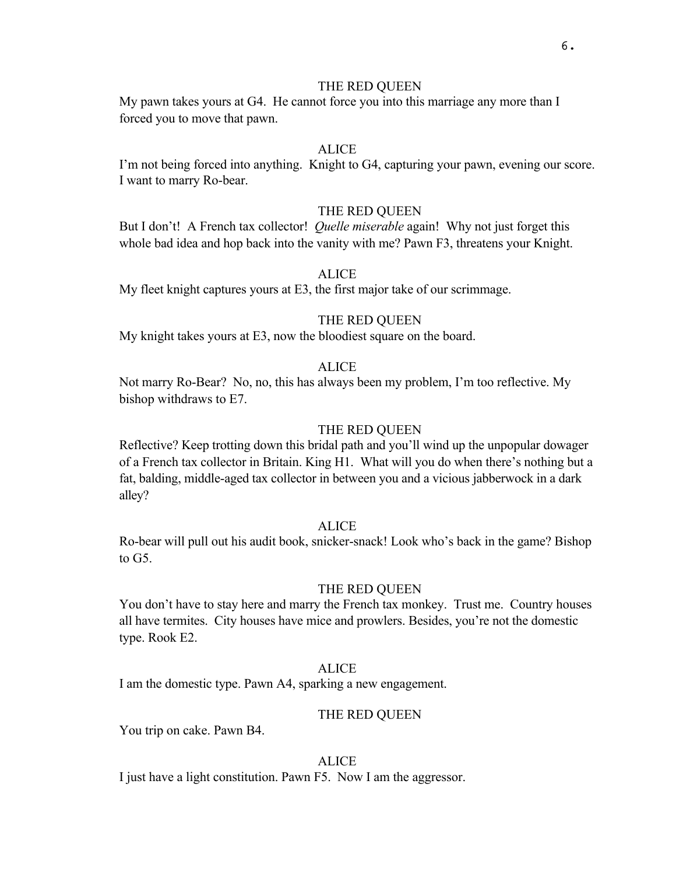## THE RED QUEEN

My pawn takes yours at G4. He cannot force you into this marriage any more than I forced you to move that pawn.

# **ALICE**

I'm not being forced into anything. Knight to G4, capturing your pawn, evening our score. I want to marry Ro-bear.

## THE RED QUEEN

But I don't! A French tax collector! *Quelle miserable* again! Why not just forget this whole bad idea and hop back into the vanity with me? Pawn F3, threatens your Knight.

# ALICE

My fleet knight captures yours at E3, the first major take of our scrimmage.

#### THE RED QUEEN

My knight takes yours at E3, now the bloodiest square on the board.

# ALICE

Not marry Ro-Bear? No, no, this has always been my problem, I'm too reflective. My bishop withdraws to E7.

## THE RED QUEEN

Reflective? Keep trotting down this bridal path and you'll wind up the unpopular dowager of a French tax collector in Britain. King H1. What will you do when there's nothing but a fat, balding, middle-aged tax collector in between you and a vicious jabberwock in a dark alley?

## **ALICE**

Ro-bear will pull out his audit book, snicker-snack! Look who's back in the game? Bishop to G5.

## THE RED QUEEN

You don't have to stay here and marry the French tax monkey. Trust me. Country houses all have termites. City houses have mice and prowlers. Besides, you're not the domestic type. Rook E2.

## **ALICE**

I am the domestic type. Pawn A4, sparking a new engagement.

#### THE RED QUEEN

You trip on cake. Pawn B4.

## ALICE

I just have a light constitution. Pawn F5. Now I am the aggressor.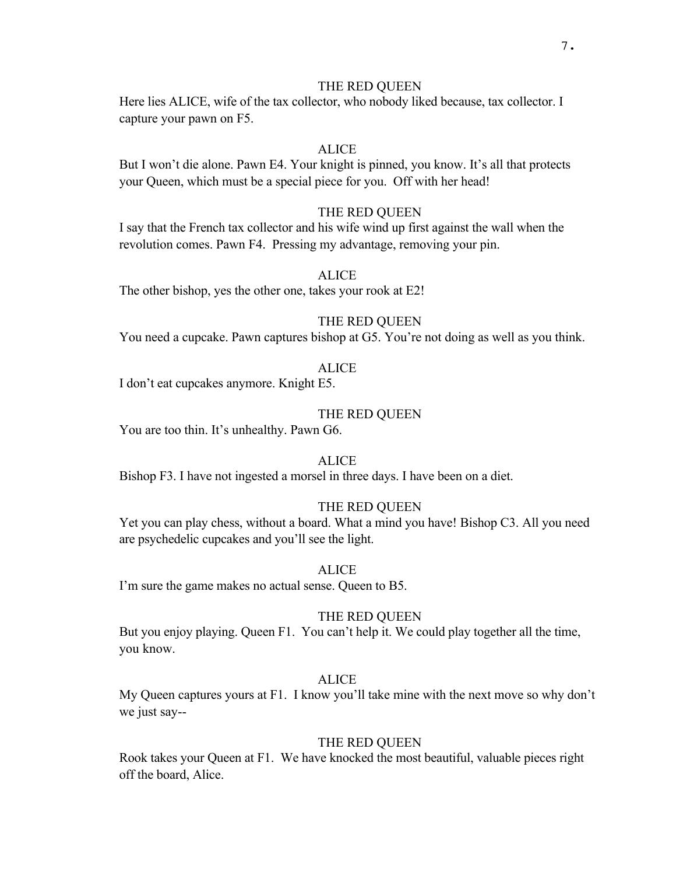## THE RED QUEEN

Here lies ALICE, wife of the tax collector, who nobody liked because, tax collector. I capture your pawn on F5.

# **ALICE**

But I won't die alone. Pawn E4. Your knight is pinned, you know. It's all that protects your Queen, which must be a special piece for you. Off with her head!

# THE RED QUEEN

I say that the French tax collector and his wife wind up first against the wall when the revolution comes. Pawn F4. Pressing my advantage, removing your pin.

# ALICE

The other bishop, yes the other one, takes your rook at E2!

## THE RED QUEEN

You need a cupcake. Pawn captures bishop at G5. You're not doing as well as you think.

## ALICE

I don't eat cupcakes anymore. Knight E5.

## THE RED QUEEN

You are too thin. It's unhealthy. Pawn G6.

#### ALICE

Bishop F3. I have not ingested a morsel in three days. I have been on a diet.

# THE RED QUEEN

Yet you can play chess, without a board. What a mind you have! Bishop C3. All you need are psychedelic cupcakes and you'll see the light.

## **ALICE**

I'm sure the game makes no actual sense. Queen to B5.

## THE RED QUEEN

But you enjoy playing. Queen F1. You can't help it. We could play together all the time, you know.

#### ALICE

My Queen captures yours at F1. I know you'll take mine with the next move so why don't we just say--

#### THE RED QUEEN

Rook takes your Queen at F1. We have knocked the most beautiful, valuable pieces right off the board, Alice.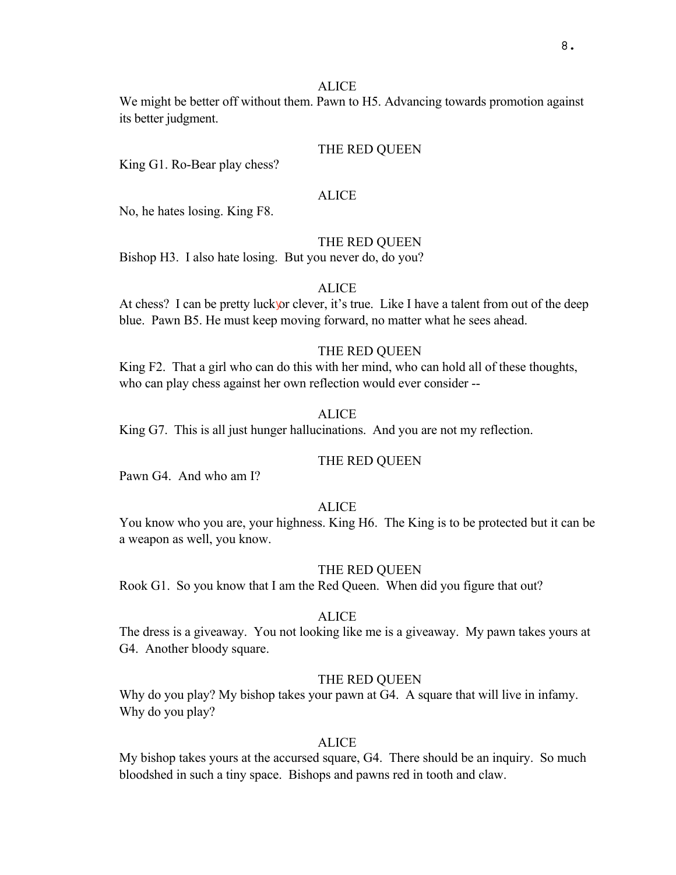We might be better off without them. Pawn to H5. Advancing towards promotion against its better judgment.

#### THE RED QUEEN

King G1. Ro-Bear play chess?

## **ALICE**

No, he hates losing. King F8.

#### THE RED QUEEN

Bishop H3. I also hate losing. But you never do, do you?

## **ALICE**

At chess? I can be pretty luck or clever, it's true. Like I have a talent from out of the deep blue. Pawn B5. He must keep moving forward, no matter what he sees ahead.

## THE RED QUEEN

King F2. That a girl who can do this with her mind, who can hold all of these thoughts, who can play chess against her own reflection would ever consider --

#### ALICE

King G7. This is all just hunger hallucinations. And you are not my reflection.

#### THE RED QUEEN

Pawn G4. And who am I?

#### **ALICE**

You know who you are, your highness. King H6. The King is to be protected but it can be a weapon as well, you know.

#### THE RED QUEEN

Rook G1. So you know that I am the Red Queen. When did you figure that out?

#### **ALICE**

The dress is a giveaway. You not looking like me is a giveaway. My pawn takes yours at G4. Another bloody square.

#### THE RED QUEEN

Why do you play? My bishop takes your pawn at G4. A square that will live in infamy. Why do you play?

## **ALICE**

My bishop takes yours at the accursed square, G4. There should be an inquiry. So much bloodshed in such a tiny space. Bishops and pawns red in tooth and claw.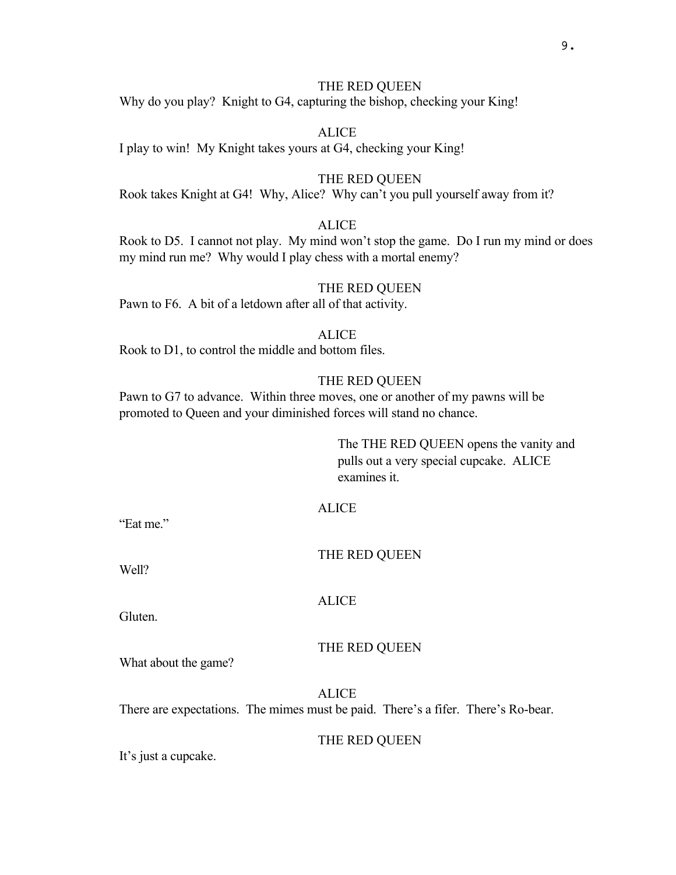# THE RED QUEEN

Why do you play? Knight to G4, capturing the bishop, checking your King!

**ALICE** I play to win! My Knight takes yours at G4, checking your King!

## THE RED QUEEN

Rook takes Knight at G4! Why, Alice? Why can't you pull yourself away from it?

## **ALICE**

Rook to D5. I cannot not play. My mind won't stop the game. Do I run my mind or does my mind run me? Why would I play chess with a mortal enemy?

#### THE RED QUEEN

Pawn to F6. A bit of a letdown after all of that activity.

# **ALICE**

Rook to D1, to control the middle and bottom files.

## THE RED QUEEN

Pawn to G7 to advance. Within three moves, one or another of my pawns will be promoted to Queen and your diminished forces will stand no chance.

> The THE RED QUEEN opens the vanity and pulls out a very special cupcake. ALICE examines it.

# ALICE

"Eat me"

THE RED QUEEN

Well?

#### ALICE

Gluten.

#### THE RED QUEEN

What about the game?

ALICE There are expectations. The mimes must be paid. There's a fifer. There's Ro-bear.

#### THE RED QUEEN

It's just a cupcake.